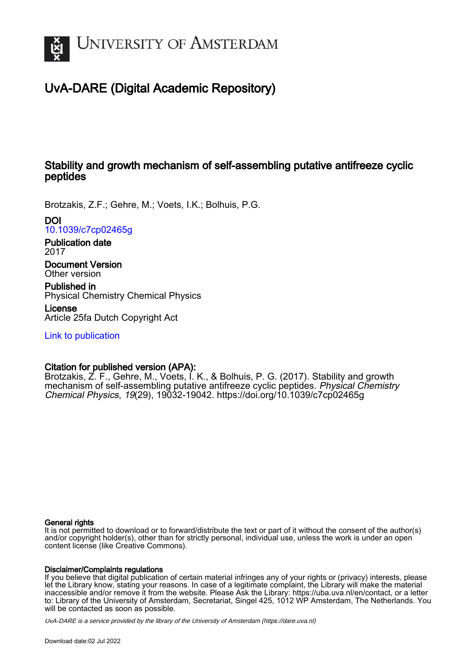

# UvA-DARE (Digital Academic Repository)

# Stability and growth mechanism of self-assembling putative antifreeze cyclic peptides

Brotzakis, Z.F.; Gehre, M.; Voets, I.K.; Bolhuis, P.G.

DOI

[10.1039/c7cp02465g](https://doi.org/10.1039/c7cp02465g)

Publication date 2017

Document Version Other version

Published in Physical Chemistry Chemical Physics

License Article 25fa Dutch Copyright Act

[Link to publication](https://dare.uva.nl/personal/pure/en/publications/stability-and-growth-mechanism-of-selfassembling-putative-antifreeze-cyclic-peptides(eecda01a-2b9d-42ac-bfd0-a60fb8e6c1e8).html)

# Citation for published version (APA):

Brotzakis, Z. F., Gehre, M., Voets, I. K., & Bolhuis, P. G. (2017). Stability and growth mechanism of self-assembling putative antifreeze cyclic peptides. Physical Chemistry Chemical Physics, 19(29), 19032-19042. <https://doi.org/10.1039/c7cp02465g>

#### General rights

It is not permitted to download or to forward/distribute the text or part of it without the consent of the author(s) and/or copyright holder(s), other than for strictly personal, individual use, unless the work is under an open content license (like Creative Commons).

#### Disclaimer/Complaints regulations

If you believe that digital publication of certain material infringes any of your rights or (privacy) interests, please let the Library know, stating your reasons. In case of a legitimate complaint, the Library will make the material inaccessible and/or remove it from the website. Please Ask the Library: https://uba.uva.nl/en/contact, or a letter to: Library of the University of Amsterdam, Secretariat, Singel 425, 1012 WP Amsterdam, The Netherlands. You will be contacted as soon as possible.

UvA-DARE is a service provided by the library of the University of Amsterdam (http*s*://dare.uva.nl)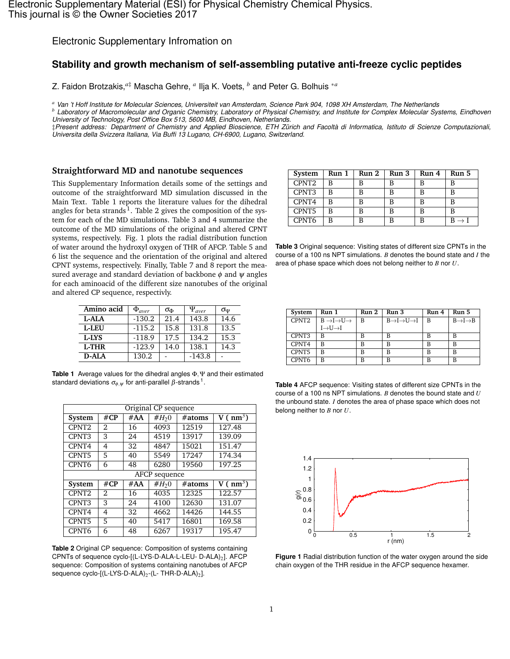Electronic Supplementary Infromation on

# **Stability and growth mechanism of self-assembling putative anti-freeze cyclic peptides**

Z. Faidon Brotzakis,*a*‡ Mascha Gehre, *<sup>a</sup>* Ilja K. Voets, *<sup>b</sup>* and Peter G. Bolhuis <sup>∗</sup>*<sup>a</sup>*

*<sup>a</sup> Van 't Hoff Institute for Molecular Sciences, Universiteit van Amsterdam, Science Park 904, 1098 XH Amsterdam, The Netherlands*

*<sup>b</sup> Laboratory of Macromolecular and Organic Chemistry, Laboratory of Physical Chemistry, and Institute for Complex Molecular Systems, Eindhoven University of Technology, Post Office Box 513, 5600 MB, Eindhoven, Netherlands.*

‡*Present address: Department of Chemistry and Applied Bioscience, ETH Zürich and Facoltà di Informatica, Istituto di Scienze Computazionali, Universita della Svizzera Italiana, Via Buffi 13 Lugano, CH-6900, Lugano, Switzerland.*

#### **Straightforward MD and nanotube sequences**

This Supplementary Information details some of the settings and outcome of the straightforward MD simulation discussed in the Main Text. Table 1 reports the literature values for the dihedral angles for beta strands<sup>1</sup>. Table 2 gives the composition of the system for each of the MD simulations. Table 3 and 4 summarize the outcome of the MD simulations of the original and altered CPNT systems, respectively. Fig. 1 plots the radial distribution function of water around the hydroxyl oxygen of THR of AFCP. Table 5 and 6 list the sequence and the orientation of the original and altered CPNT systems, respectively. Finally, Table 7 and 8 report the measured average and standard deviation of backbone  $\phi$  and  $\psi$  angles for each aminoacid of the different size nanotubes of the original and altered CP sequence, respectivly.

| Amino acid   | $\Phi_{aver}$ | $\sigma_{\Phi}$ | $\Psi_{aver}$ | σψ   |
|--------------|---------------|-----------------|---------------|------|
| L-ALA        | $-130.2$      | 21.4            | 143.8         | 14.6 |
| <b>L-LEU</b> | $-115.2$      | 15.8            | 131.8         | 13.5 |
| L-LYS        | $-118.9$      | 17.5            | 134.2         | 15.3 |
| <b>L-THR</b> | $-123.9$      | 14.0            | 138.1         | 14.3 |
| <b>D-ALA</b> | 130.2         |                 | $-143.8$      |      |

**Table 1** Average values for the dihedral angles Φ,Ψ and their estimated standard deviations  $\sigma_{\!\phi,\psi}$  for anti-parallel  $\beta$ -strands  $^1.$ 

|                   | Original CP sequence |     |               |        |              |  |  |  |  |  |  |  |  |
|-------------------|----------------------|-----|---------------|--------|--------------|--|--|--|--|--|--|--|--|
| System            | $\#CP$               | #AA | $#H_20$       | #atoms | V ( $nm^3$ ) |  |  |  |  |  |  |  |  |
| CPNT <sub>2</sub> | 2                    | 16  | 4093          | 12519  | 127.48       |  |  |  |  |  |  |  |  |
| CPNT <sub>3</sub> | 3                    | 24  | 4519          | 13917  | 139.09       |  |  |  |  |  |  |  |  |
| CPNT4             | 4                    | 32  | 4847          | 15021  | 151.47       |  |  |  |  |  |  |  |  |
| CPNT5             | 5                    | 40  | 5549          | 17247  | 174.34       |  |  |  |  |  |  |  |  |
| CPNT <sub>6</sub> | 6                    | 48  | 6280          | 19560  | 197.25       |  |  |  |  |  |  |  |  |
|                   |                      |     | AFCP sequence |        |              |  |  |  |  |  |  |  |  |
| System            | $\#CP$               | #AA | $#H_20$       | #atoms | V ( $nm^3$ ) |  |  |  |  |  |  |  |  |
| CPNT <sub>2</sub> | $\mathfrak{D}$       | 16  | 4035          | 12325  | 122.57       |  |  |  |  |  |  |  |  |
| CPNT3             | 3                    | 24  | 4100          | 12630  | 131.07       |  |  |  |  |  |  |  |  |
| CPNT4             | 4                    | 32  | 4662          | 14426  | 144.55       |  |  |  |  |  |  |  |  |
| CPNT5             | 5                    | 40  | 5417          | 16801  | 169.58       |  |  |  |  |  |  |  |  |
| CPNT <sub>6</sub> | 6                    | 48  | 6267          | 19317  | 195.47       |  |  |  |  |  |  |  |  |

**Table 2** Original CP sequence: Composition of systems containing CPNTs of sequence cyclo-[(L-LYS-D-ALA-L-LEU- D-ALA)<sub>2</sub>]. AFCP sequence: Composition of systems containing nanotubes of AFCP sequence cyclo- $[(L-LYS-D-ALA)<sub>2</sub>-(L-THR-D-ALA)<sub>2</sub>].$ 

| System            | Run 1 | Run 2 | Run 3 | Run 4 | Run 5 |
|-------------------|-------|-------|-------|-------|-------|
| CPNT <sub>2</sub> | R     | в     | в     | в     | в     |
| CPNT3             | R     | в     |       | в     | в     |
| CPNT4             | R     | R     |       |       |       |
| CPNT5             | R     |       |       |       |       |
| CPNT <sub>6</sub> |       |       |       |       |       |

**Table 3** Original sequence: Visiting states of different size CPNTs in the course of a 100 ns NPT simulations. *B* denotes the bound state and *I* the area of phase space which does not belong neither to *B* nor *U*.

| System | Run 1                                       | Run 2 | Run 3                                         | Run 4 | Run 5                           |
|--------|---------------------------------------------|-------|-----------------------------------------------|-------|---------------------------------|
| CPNT2  | $B \rightarrow I \rightarrow U \rightarrow$ | B     | $B \rightarrow I \rightarrow U \rightarrow I$ | B     | $B \rightarrow I \rightarrow B$ |
|        | $I \rightarrow U \rightarrow I$             |       |                                               |       |                                 |
| CPNT3  | В                                           | B     | в                                             | В     | В                               |
| CPNT4  | B                                           | В     | B                                             | B     | B                               |
| CPNT5  | B                                           | B     | B                                             | B     | B                               |
| CPNT6  | B                                           | В     | B                                             | B     | B                               |

**Table 4** AFCP sequence: Visiting states of different size CPNTs in the course of a 100 ns NPT simulations. *B* denotes the bound state and *U* the unbound state. *I* denotes the area of phase space which does not belong neither to *B* nor *U*.



**Figure 1** Radial distribution function of the water oxygen around the side chain oxygen of the THR residue in the AFCP sequence hexamer.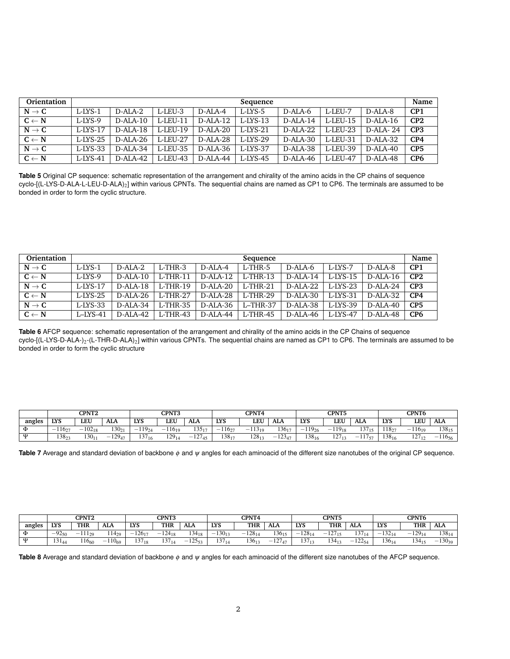| Orientation       | Sequence    |             |          |            |             |            |             |            |                 |  |  |  |  |  |
|-------------------|-------------|-------------|----------|------------|-------------|------------|-------------|------------|-----------------|--|--|--|--|--|
| $N \rightarrow C$ | L-LYS-1     | $D-ALA-2$   | L-LEU-3  | D-ALA-4    | L-LYS-5     | D-ALA-6    | L-LEU-7     | D-ALA-8    | CP1             |  |  |  |  |  |
| $C \leftarrow N$  | $L$ -LYS-9  | $D-ALA-10$  | L-LEU-11 | $D-ALA-12$ | $L$ -LYS-13 | $D-ALA-14$ | $L$ -LEU-15 | $D-ALA-16$ | CP2             |  |  |  |  |  |
| $N \rightarrow C$ | L-LYS-17    | $D-ALA-18$  | L-LEU-19 | D-ALA-20   | $L-LYS-21$  | $D-ALA-22$ | L-LEU-23    | D-ALA- 24  | CP3             |  |  |  |  |  |
| $C \leftarrow N$  | L-LYS-25    | $D-ALA-26$  | L-LEU-27 | D-ALA-28   | $L-LYS-29$  | $D-ALA-30$ | L-LEU-31    | D-ALA-32   | CP4             |  |  |  |  |  |
| $N \rightarrow C$ | L-LYS-33    | $D-AI.A-34$ | L-LEU-35 | D-ALA-36   | L-LYS-37    | D-ALA-38   | L-LEU-39    | $D-ALA-40$ | CP <sub>5</sub> |  |  |  |  |  |
| $C \leftarrow N$  | $L$ -LYS-41 | $D-ALA-42$  | L-LEU-43 | D-ALA-44   | $L$ -LYS-45 | D-ALA-46   | L-LEU-47    | $D-ALA-48$ | CP <sub>6</sub> |  |  |  |  |  |

**Table 5** Original CP sequence: schematic representation of the arrangement and chirality of the amino acids in the CP chains of sequence cyclo-[(L-LYS-D-ALA-L-LEU-D-ALA)<sub>2</sub>] within various CPNTs. The sequential chains are named as CP1 to CP6. The terminals are assumed to be bonded in order to form the cyclic structure.

| Orientation       | Name<br>Sequence |            |             |            |             |            |             |             |                 |  |  |  |  |
|-------------------|------------------|------------|-------------|------------|-------------|------------|-------------|-------------|-----------------|--|--|--|--|
| $N \rightarrow C$ | $L$ -LYS-1       | $D-ALA-2$  | $L-THR-3$   | $D-ALA-4$  | L-THR-5     | D-ALA-6    | L-LYS-7     | D-ALA-8     | CP <sub>1</sub> |  |  |  |  |
| $C \leftarrow N$  | $L-LYS-9$        | $D-ALA-10$ | $L-THR-11$  | $D-ALA-12$ | $L-THR-13$  | $D-ALA-14$ | $L$ -LYS-15 | $D-AI.A-16$ | CP2             |  |  |  |  |
| $N \rightarrow C$ | $L$ -LYS-17      | $D-ALA-18$ | $L-THR-19$  | D-ALA-20   | $L$ -THR-21 | $D-ALA-22$ | $L$ -LYS-23 | $D-ALA-24$  | CP <sub>3</sub> |  |  |  |  |
| $C \leftarrow N$  | $L$ -LYS-25      | $D-ALA-26$ | $L-THR-27$  | $D-ALA-28$ | $L$ -THR-29 | D-ALA-30   | $L-LYS-31$  | $D-ALA-32$  | CP4             |  |  |  |  |
| $N \rightarrow C$ | $L$ -LYS-33      | $D-ALA-34$ | $L$ -THR-35 | $D-ALA-36$ | $L-THR-37$  | $D-ALA-38$ | $L$ -LYS-39 | $D-ALA-40$  | CP <sub>5</sub> |  |  |  |  |
| $C \leftarrow N$  | $L$ -LYS-41      | D-ALA-42   | $L-THR-43$  | $D-ALA-44$ | $L$ -THR-45 | D-ALA-46   | $L$ -LYS-47 | $D-ALA-48$  | CP <sub>6</sub> |  |  |  |  |

**Table 6** AFCP sequence: schematic representation of the arrangement and chirality of the amino acids in the CP Chains of sequence cyclo-[(L-LYS-D-ALA-)<sub>2</sub>-(L-THR-D-ALA)<sub>2</sub>] within various CPNTs. The sequential chains are named as CP1 to CP6. The terminals are assumed to be bonded in order to form the cyclic structure

|        | <b>CPNT2</b> |             |             |                   | <b>CPNT3</b>                      |                 |                                   | CPNT4        |             |                      | <b>CPNT5</b>                           |                 | CPNT6      |                                   |             |
|--------|--------------|-------------|-------------|-------------------|-----------------------------------|-----------------|-----------------------------------|--------------|-------------|----------------------|----------------------------------------|-----------------|------------|-----------------------------------|-------------|
| angles | <b>LYS</b>   | LEU         | ALA         | <b>LYS</b>        | LEU                               | <b>ALA</b>      | <b>LYS</b>                        | LEU          | <b>ALA</b>  | <b>LYS</b>           | LEU                                    | ALA             | <b>LYS</b> | LEU                               | ALA         |
| Ф      | 116.5<br>-   | $-102_{18}$ | $130_{21}$  | $119_{24}$<br>$-$ | 11610<br>$\overline{\phantom{a}}$ | 13517           | 11627<br>$\overline{\phantom{a}}$ | 11310<br>- - | $136_{17}$  | $119_{26}$<br>$\sim$ | $119_{18}$<br>$\overline{\phantom{a}}$ | $\sim$<br>13/15 | $118 -$    | 11610<br>$\overline{\phantom{a}}$ | $138_{15}$  |
| ៶ប     | 13822        | $30_{11}$   | $-129_{47}$ | 137 <sub>16</sub> | $129_{14}$                        | 107<br>$-12/45$ | $138_{17}$                        | $128_{13}$   | $-123_{47}$ | $138_{16}$           | 1 <sub>2</sub><br>1211                 | 117<br>$-11/57$ | $138_{16}$ | $27_{12}$<br>$1 \leq l$           | $-116_{56}$ |

**Table 7** Average and standard deviation of backbone φ and ψ angles for each aminoacid of the different size nanotubes of the original CP sequence.

|        | CPNT3<br><b>CPNT2</b> |                   |             |                   |                 | <b>CPNT4</b> |             |             | <b>CPNT5</b>         |             | CPNT6           |                 |            |                   |             |
|--------|-----------------------|-------------------|-------------|-------------------|-----------------|--------------|-------------|-------------|----------------------|-------------|-----------------|-----------------|------------|-------------------|-------------|
| angles | <b>LYS</b>            | <b>THR</b>        | <b>ALA</b>  | <b>LYS</b>        | THR             | <b>ALA</b>   | <b>LYS</b>  | <b>THR</b>  | <b>ALA</b>           | <b>LYS</b>  | <b>THR</b>      | ALA             | <b>LYS</b> | <b>THR</b>        | <b>ALA</b>  |
| Φ      | $-92_{50}$            | $-11120$          | $114_{29}$  | $-126_{17}$       | $-124_{18}$     | $134_{18}$   | $-130_{13}$ | $-128_{14}$ | $136_{15}$           | $-128_{14}$ | 127<br>$-12/15$ | 127<br>1311     | $132_{14}$ | $-129_{14}$       | $138_{14}$  |
| ៶ប     | 13144                 | !16 <sub>60</sub> | $-110_{69}$ | 137 <sub>18</sub> | $\sim$<br>13/14 | $-12553$     | 13714       | $136_{13}$  | 127<br>12/47<br>$-1$ | $137_{13}$  | $134_{13}$      | 100<br>$-12254$ | $136_{14}$ | 134 <sub>15</sub> | $-130_{39}$ |

**Table 8** Average and standard deviation of backbone φ and ψ angles for each aminoacid of the different size nanotubes of the AFCP sequence.